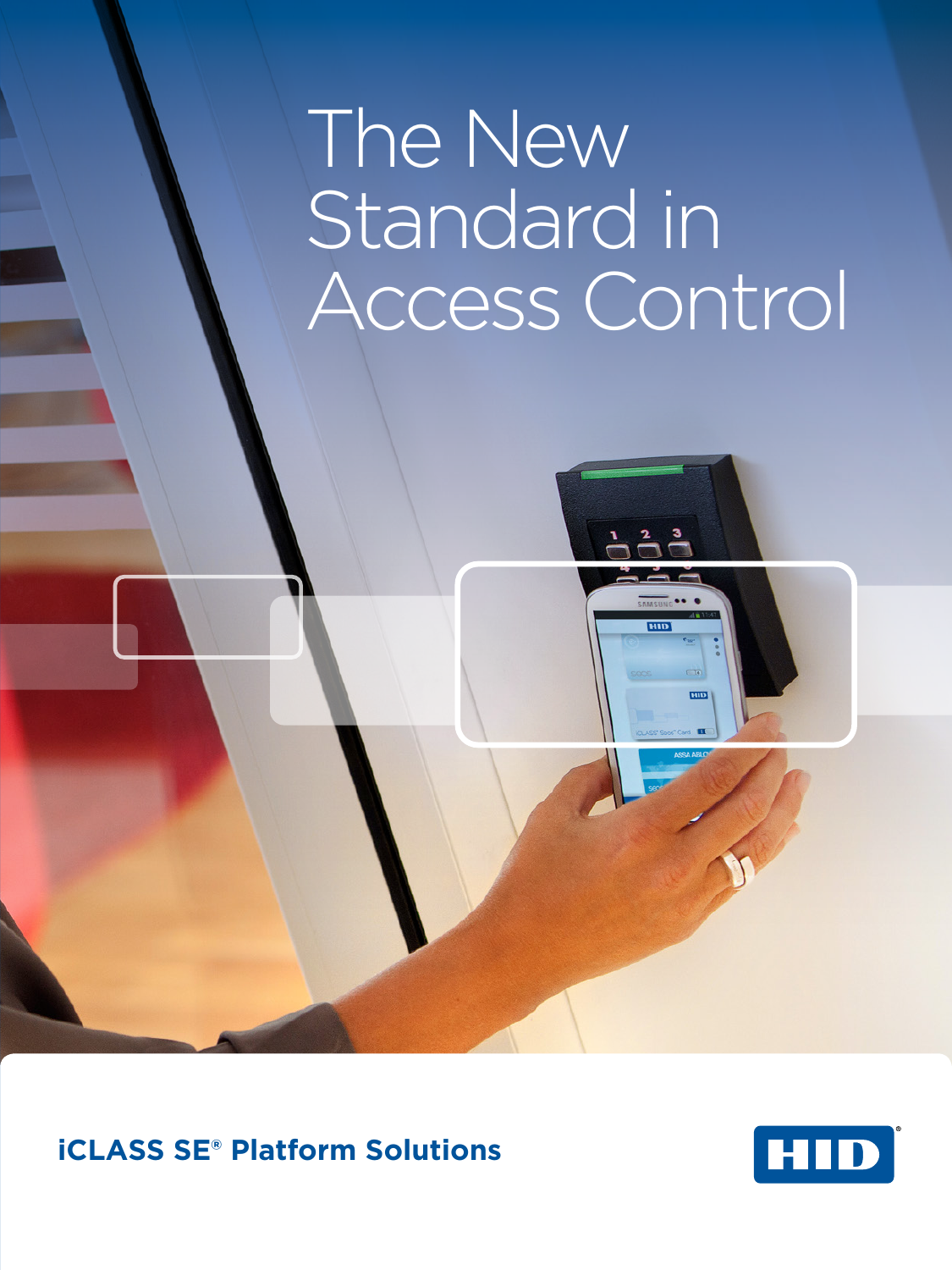# The New Standard in Access Control



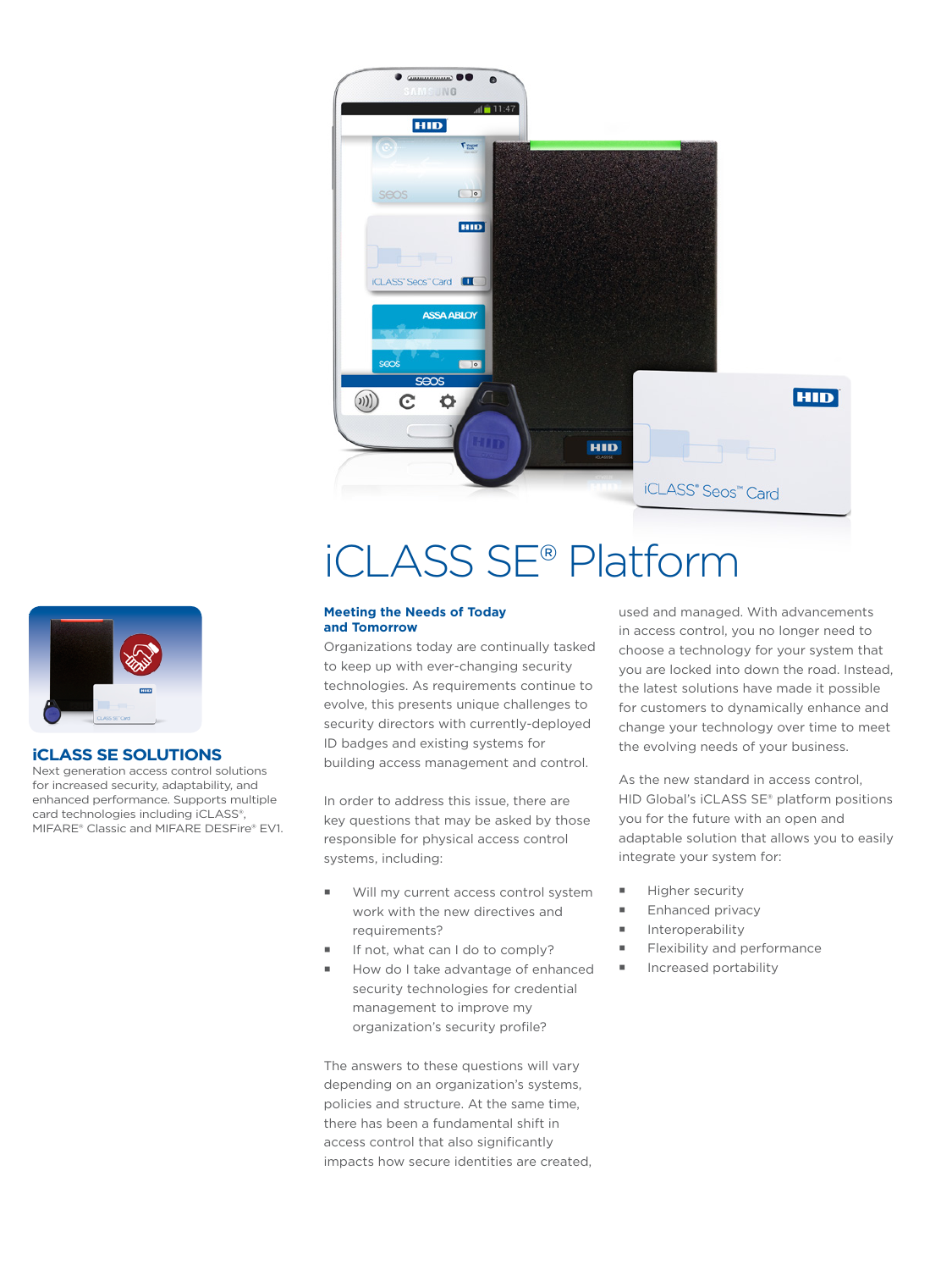

# iCLASS SE® Platform



#### **iCLASS SE SOLUTIONS**

Next generation access control solutions for increased security, adaptability, and enhanced performance. Supports multiple card technologies including iCLASS®, MIFARE® Classic and MIFARE DESFire® EV1.

#### **Meeting the Needs of Today and Tomorrow**

Organizations today are continually tasked to keep up with ever-changing security technologies. As requirements continue to evolve, this presents unique challenges to security directors with currently-deployed ID badges and existing systems for building access management and control.

In order to address this issue, there are key questions that may be asked by those responsible for physical access control systems, including:

- Will my current access control system work with the new directives and requirements?
- If not, what can I do to comply?
- How do I take advantage of enhanced security technologies for credential management to improve my organization's security profile?

The answers to these questions will vary depending on an organization's systems, policies and structure. At the same time, there has been a fundamental shift in access control that also significantly impacts how secure identities are created, used and managed. With advancements in access control, you no longer need to choose a technology for your system that you are locked into down the road. Instead, the latest solutions have made it possible for customers to dynamically enhance and change your technology over time to meet the evolving needs of your business.

As the new standard in access control, HID Global's iCLASS SE® platform positions you for the future with an open and adaptable solution that allows you to easily integrate your system for:

- **Higher security**
- Enhanced privacy
- **Interoperability**
- Flexibility and performance
- **Increased portability**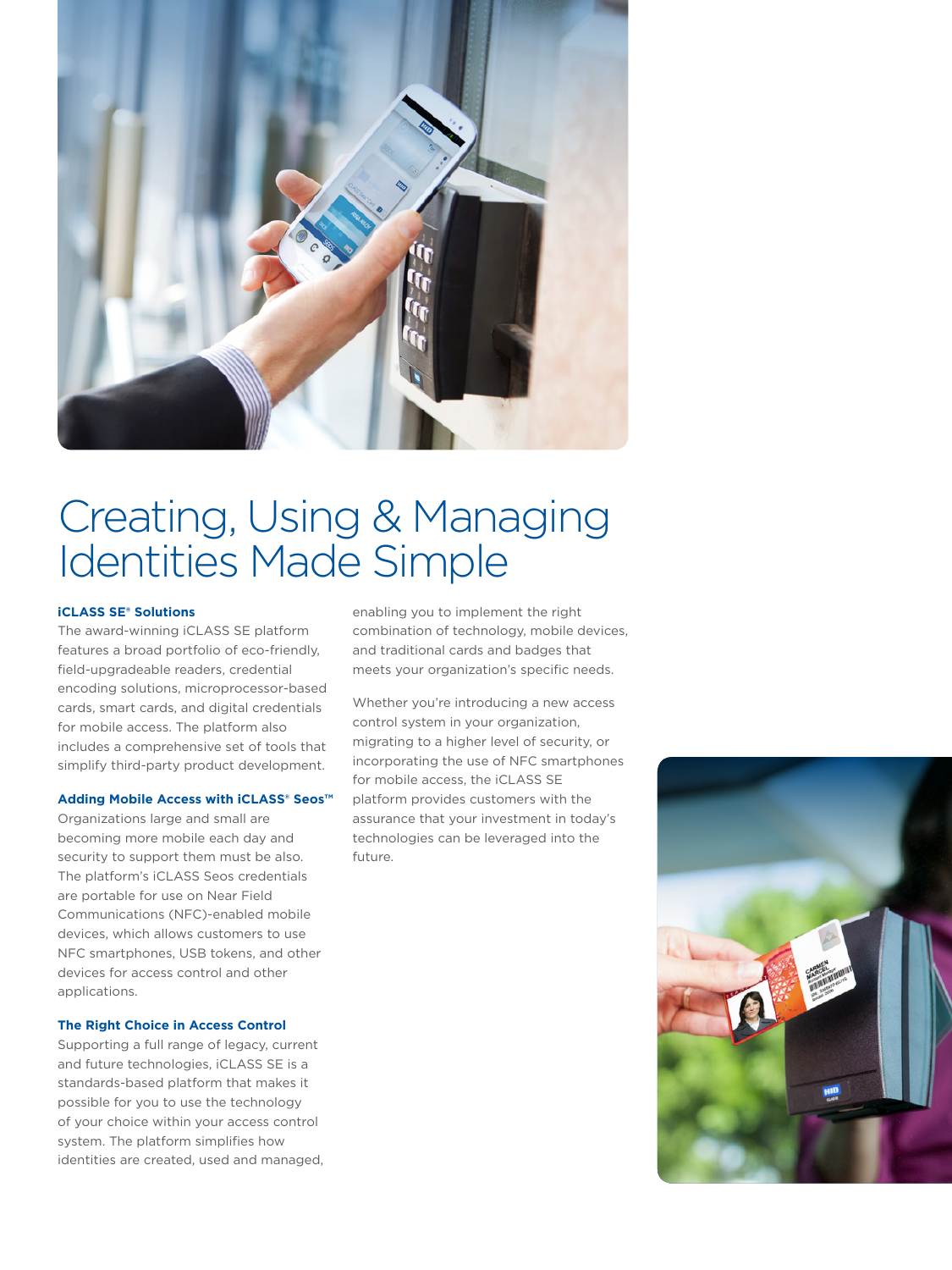

### Creating, Using & Managing Identities Made Simple

#### **iCLASS SE® Solutions**

The award-winning iCLASS SE platform features a broad portfolio of eco-friendly, field-upgradeable readers, credential encoding solutions, microprocessor-based cards, smart cards, and digital credentials for mobile access. The platform also includes a comprehensive set of tools that simplify third-party product development.

#### **Adding Mobile Access with iCLASS® Seos™**

Organizations large and small are becoming more mobile each day and security to support them must be also. The platform's iCLASS Seos credentials are portable for use on Near Field Communications (NFC)-enabled mobile devices, which allows customers to use NFC smartphones, USB tokens, and other devices for access control and other applications.

#### **The Right Choice in Access Control**

Supporting a full range of legacy, current and future technologies, iCLASS SE is a standards-based platform that makes it possible for you to use the technology of your choice within your access control system. The platform simplifies how identities are created, used and managed, enabling you to implement the right combination of technology, mobile devices, and traditional cards and badges that meets your organization's specific needs.

Whether you're introducing a new access control system in your organization, migrating to a higher level of security, or incorporating the use of NFC smartphones for mobile access, the iCLASS SE platform provides customers with the assurance that your investment in today's technologies can be leveraged into the future.

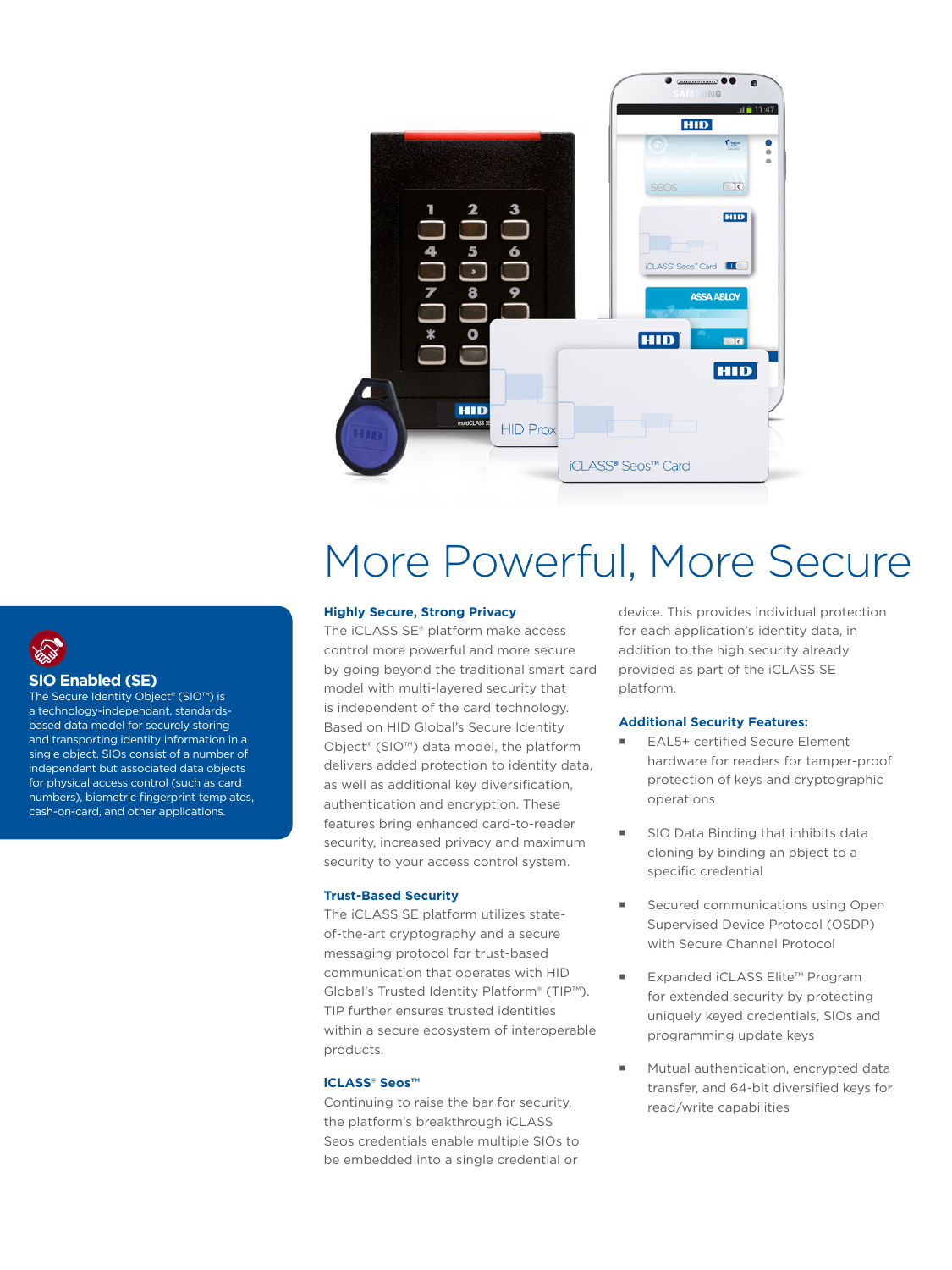

### More Powerful, More Secure

#### **Highly Secure, Strong Privacy**

The iCLASS SE® platform make access control more powerful and more secure by going beyond the traditional smart card model with multi-layered security that is independent of the card technology. Based on HID Global's Secure Identity Object® (SIO™) data model, the platform delivers added protection to identity data, as well as additional key diversification, authentication and encryption. These features bring enhanced card-to-reader security, increased privacy and maximum security to your access control system.

#### **Trust-Based Security**

The iCLASS SE platform utilizes stateof-the-art cryptography and a secure messaging protocol for trust-based communication that operates with HID Global's Trusted Identity Platform® (TIP™). TIP further ensures trusted identities within a secure ecosystem of interoperable products.

#### **iCLASS® Seos™**

Continuing to raise the bar for security, the platform's breakthrough iCLASS Seos credentials enable multiple SIOs to be embedded into a single credential or

device. This provides individual protection for each application's identity data, in addition to the high security already provided as part of the iCLASS SE platform.

#### **Additional Security Features:**

- EAL5+ certified Secure Element hardware for readers for tamper-proof protection of keys and cryptographic operations
- SIO Data Binding that inhibits data cloning by binding an object to a specific credential
- Secured communications using Open Supervised Device Protocol (OSDP) with Secure Channel Protocol
- Expanded iCLASS Elite™ Program for extended security by protecting uniquely keyed credentials, SIOs and programming update keys
- Mutual authentication, encrypted data transfer, and 64-bit diversified keys for read/write capabilities

### **SIO Enabled (SE)**

The Secure Identity Object® (SIO™) is a technology-independant, standardsbased data model for securely storing and transporting identity information in a single object. SIOs consist of a number of independent but associated data objects for physical access control (such as card numbers), biometric fingerprint templates, cash-on-card, and other applications.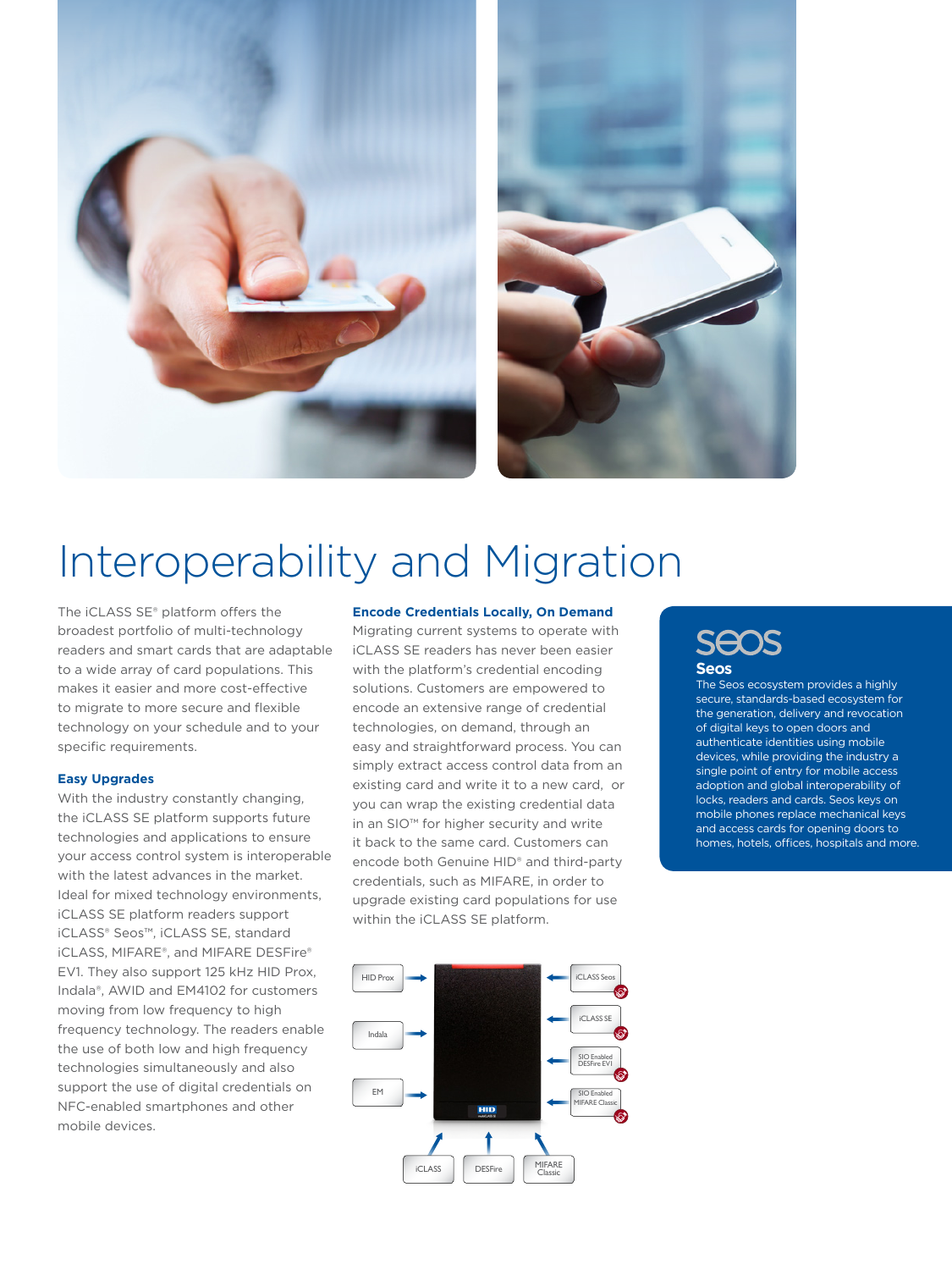



## Interoperability and Migration

The iCLASS SE® platform offers the broadest portfolio of multi-technology readers and smart cards that are adaptable to a wide array of card populations. This makes it easier and more cost-effective to migrate to more secure and flexible technology on your schedule and to your specific requirements.

#### **Easy Upgrades**

With the industry constantly changing, the iCLASS SE platform supports future technologies and applications to ensure your access control system is interoperable with the latest advances in the market. Ideal for mixed technology environments, iCLASS SE platform readers support iCLASS® Seos™, iCLASS SE, standard iCLASS, MIFARE®, and MIFARE DESFire® EV1. They also support 125 kHz HID Prox, Indala®, AWID and EM4102 for customers moving from low frequency to high frequency technology. The readers enable the use of both low and high frequency technologies simultaneously and also support the use of digital credentials on NFC-enabled smartphones and other mobile devices.

#### **Encode Credentials Locally, On Demand**

Migrating current systems to operate with iCLASS SE readers has never been easier with the platform's credential encoding solutions. Customers are empowered to encode an extensive range of credential technologies, on demand, through an easy and straightforward process. You can simply extract access control data from an existing card and write it to a new card, or you can wrap the existing credential data in an SIO™ for higher security and write it back to the same card. Customers can encode both Genuine HID® and third-party credentials, such as MIFARE, in order to upgrade existing card populations for use within the iCLASS SE platform.

### HID Prox **in the second of the second of the second of the second of the second of the second of the second of the second of the second of the second of the second of the second of the second of the second of the second of** iCLASS SE SIO Enabled DESFire EV1 Indala SIO Enabled MIFARE Classic EM iCLASS | DESFire | MIFARE

### **SEOS Seos**

The Seos ecosystem provides a highly secure, standards-based ecosystem for the generation, delivery and revocation of digital keys to open doors and authenticate identities using mobile devices, while providing the industry a single point of entry for mobile access adoption and global interoperability of locks, readers and cards. Seos keys on mobile phones replace mechanical keys and access cards for opening doors to homes, hotels, offices, hospitals and more.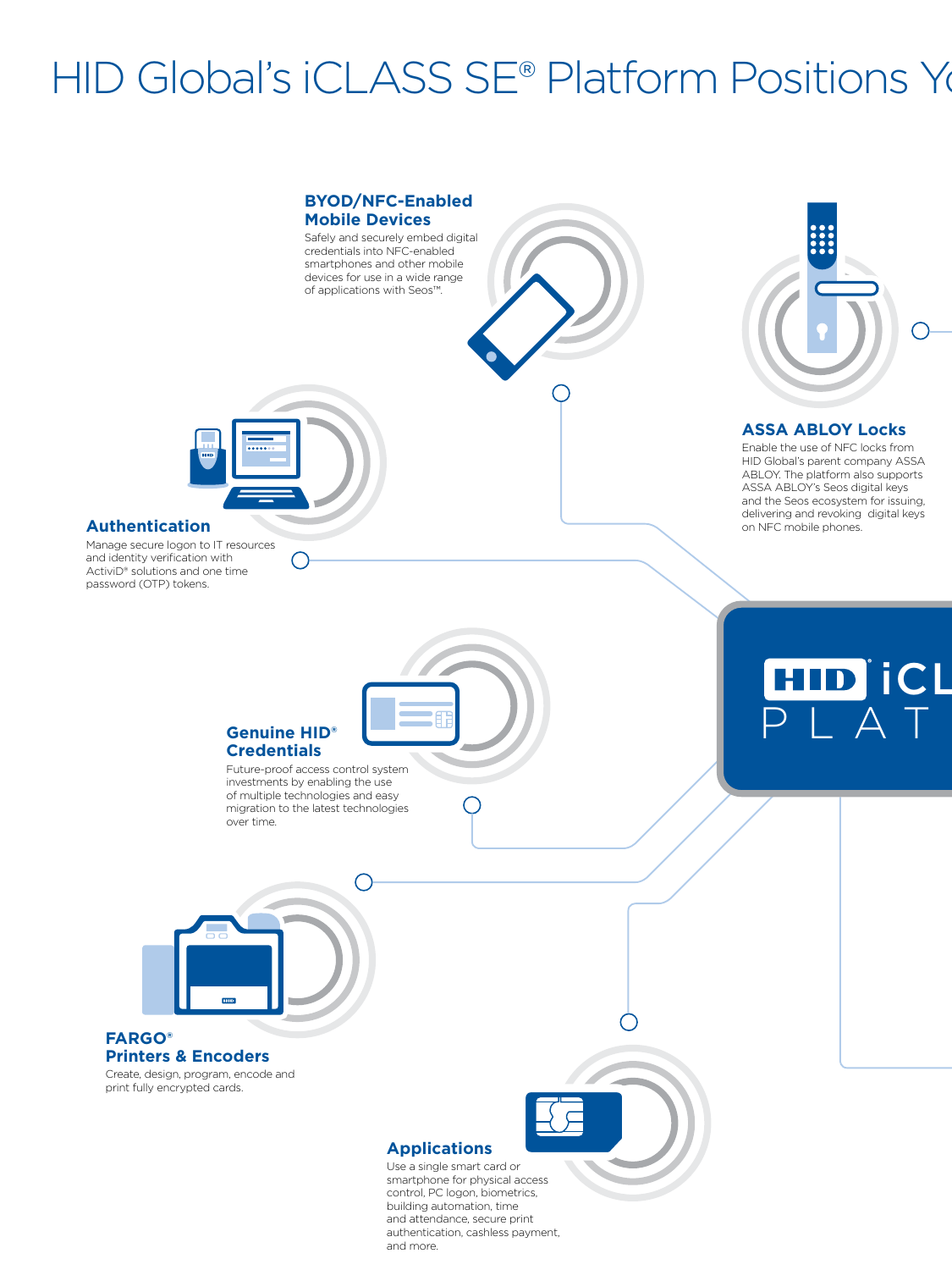# HID Global's iCLASS SE® Platform Positions You



and more.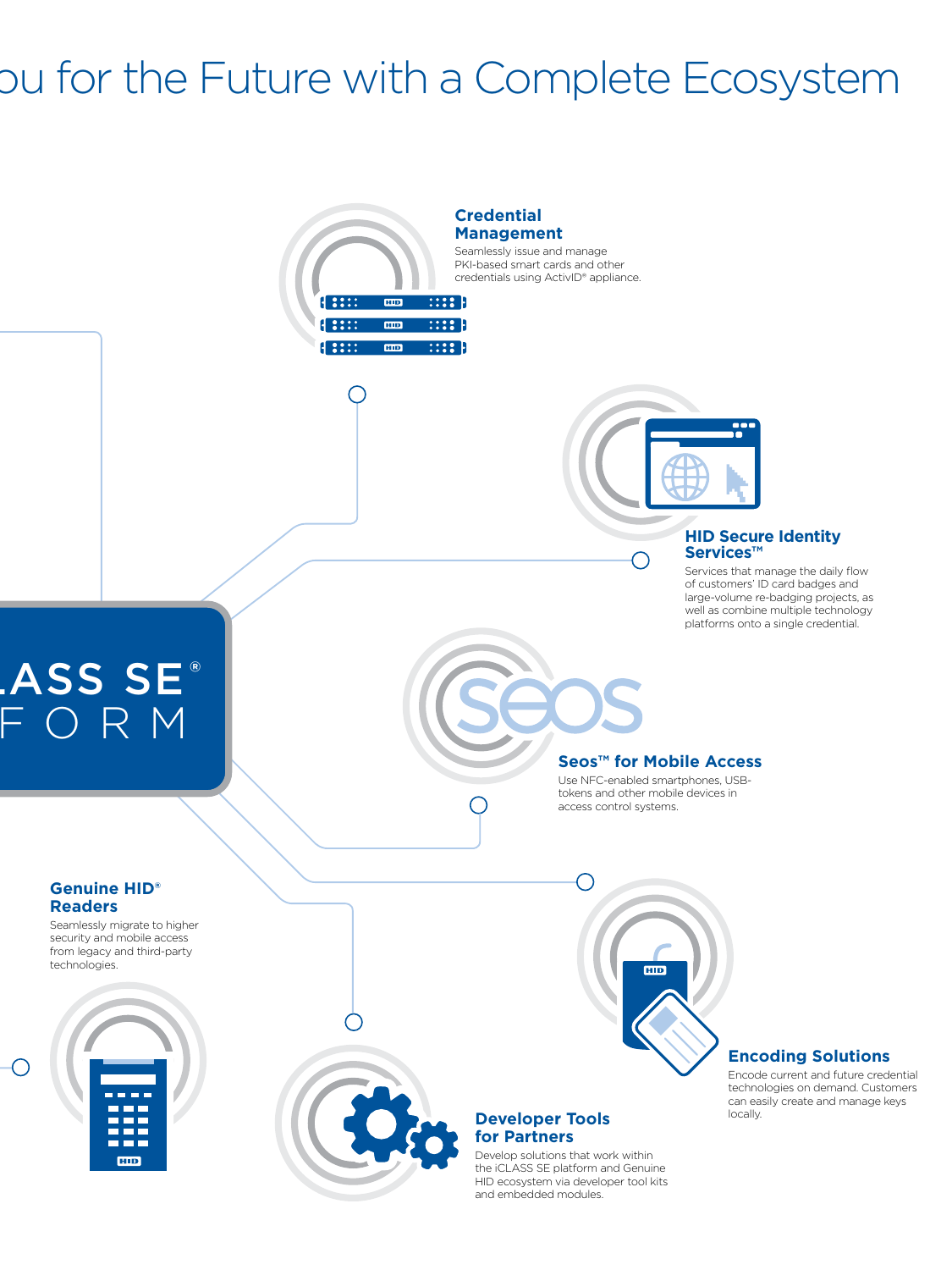## ou for the Future with a Complete Ecosystem